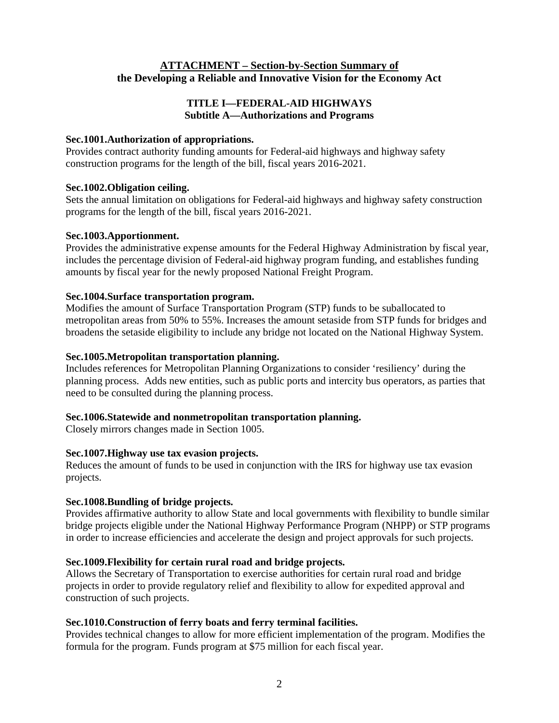# **ATTACHMENT – Section-by-Section Summary of the Developing a Reliable and Innovative Vision for the Economy Act**

# **TITLE I—FEDERAL-AID HIGHWAYS Subtitle A—Authorizations and Programs**

# **Sec.1001.Authorization of appropriations.**

Provides contract authority funding amounts for Federal-aid highways and highway safety construction programs for the length of the bill, fiscal years 2016-2021.

# **Sec.1002.Obligation ceiling.**

Sets the annual limitation on obligations for Federal-aid highways and highway safety construction programs for the length of the bill, fiscal years 2016-2021.

# **Sec.1003.Apportionment.**

Provides the administrative expense amounts for the Federal Highway Administration by fiscal year, includes the percentage division of Federal-aid highway program funding, and establishes funding amounts by fiscal year for the newly proposed National Freight Program.

# **Sec.1004.Surface transportation program.**

Modifies the amount of Surface Transportation Program (STP) funds to be suballocated to metropolitan areas from 50% to 55%. Increases the amount setaside from STP funds for bridges and broadens the setaside eligibility to include any bridge not located on the National Highway System.

# **Sec.1005.Metropolitan transportation planning.**

Includes references for Metropolitan Planning Organizations to consider 'resiliency' during the planning process. Adds new entities, such as public ports and intercity bus operators, as parties that need to be consulted during the planning process.

# **Sec.1006.Statewide and nonmetropolitan transportation planning.**

Closely mirrors changes made in Section 1005.

# **Sec.1007.Highway use tax evasion projects.**

Reduces the amount of funds to be used in conjunction with the IRS for highway use tax evasion projects.

# **Sec.1008.Bundling of bridge projects.**

Provides affirmative authority to allow State and local governments with flexibility to bundle similar bridge projects eligible under the National Highway Performance Program (NHPP) or STP programs in order to increase efficiencies and accelerate the design and project approvals for such projects.

# **Sec.1009.Flexibility for certain rural road and bridge projects.**

Allows the Secretary of Transportation to exercise authorities for certain rural road and bridge projects in order to provide regulatory relief and flexibility to allow for expedited approval and construction of such projects.

# **Sec.1010.Construction of ferry boats and ferry terminal facilities.**

Provides technical changes to allow for more efficient implementation of the program. Modifies the formula for the program. Funds program at \$75 million for each fiscal year.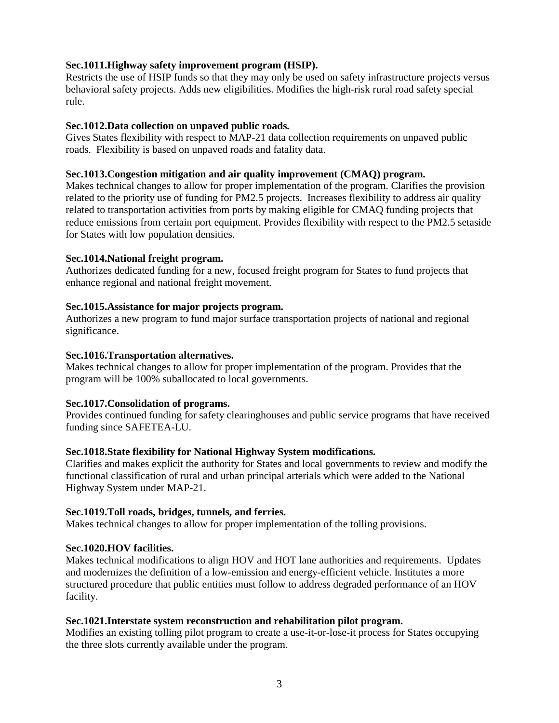# **Sec.1011.Highway safety improvement program (HSIP).**

Restricts the use of HSIP funds so that they may only be used on safety infrastructure projects versus behavioral safety projects. Adds new eligibilities. Modifies the high-risk rural road safety special rule.

# **Sec.1012.Data collection on unpaved public roads.**

Gives States flexibility with respect to MAP-21 data collection requirements on unpaved public roads. Flexibility is based on unpaved roads and fatality data.

### **Sec.1013.Congestion mitigation and air quality improvement (CMAQ) program.**

Makes technical changes to allow for proper implementation of the program. Clarifies the provision related to the priority use of funding for PM2.5 projects. Increases flexibility to address air quality related to transportation activities from ports by making eligible for CMAQ funding projects that reduce emissions from certain port equipment. Provides flexibility with respect to the PM2.5 setaside for States with low population densities.

# **Sec.1014.National freight program.**

Authorizes dedicated funding for a new, focused freight program for States to fund projects that enhance regional and national freight movement.

### **Sec.1015.Assistance for major projects program.**

Authorizes a new program to fund major surface transportation projects of national and regional significance.

#### **Sec.1016.Transportation alternatives.**

Makes technical changes to allow for proper implementation of the program. Provides that the program will be 100% suballocated to local governments.

# **Sec.1017.Consolidation of programs.**

Provides continued funding for safety clearinghouses and public service programs that have received funding since SAFETEA-LU.

# **Sec.1018.State flexibility for National Highway System modifications.**

Clarifies and makes explicit the authority for States and local governments to review and modify the functional classification of rural and urban principal arterials which were added to the National Highway System under MAP-21.

#### **Sec.1019.Toll roads, bridges, tunnels, and ferries.**

Makes technical changes to allow for proper implementation of the tolling provisions.

# **Sec.1020.HOV facilities.**

Makes technical modifications to align HOV and HOT lane authorities and requirements. Updates and modernizes the definition of a low-emission and energy-efficient vehicle. Institutes a more structured procedure that public entities must follow to address degraded performance of an HOV facility.

#### **Sec.1021.Interstate system reconstruction and rehabilitation pilot program.**

Modifies an existing tolling pilot program to create a use-it-or-lose-it process for States occupying the three slots currently available under the program.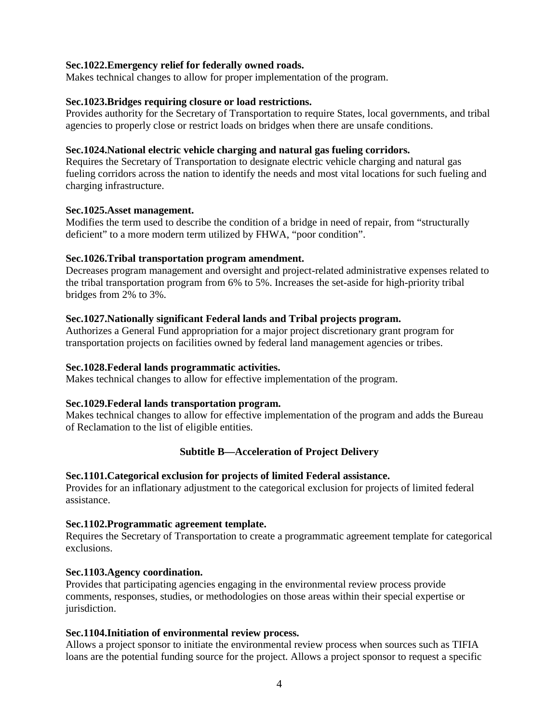### **Sec.1022.Emergency relief for federally owned roads.**

Makes technical changes to allow for proper implementation of the program.

### **Sec.1023.Bridges requiring closure or load restrictions.**

Provides authority for the Secretary of Transportation to require States, local governments, and tribal agencies to properly close or restrict loads on bridges when there are unsafe conditions.

### **Sec.1024.National electric vehicle charging and natural gas fueling corridors.**

Requires the Secretary of Transportation to designate electric vehicle charging and natural gas fueling corridors across the nation to identify the needs and most vital locations for such fueling and charging infrastructure.

#### **Sec.1025.Asset management.**

Modifies the term used to describe the condition of a bridge in need of repair, from "structurally deficient" to a more modern term utilized by FHWA, "poor condition".

### **Sec.1026.Tribal transportation program amendment.**

Decreases program management and oversight and project-related administrative expenses related to the tribal transportation program from 6% to 5%. Increases the set-aside for high-priority tribal bridges from 2% to 3%.

### **Sec.1027.Nationally significant Federal lands and Tribal projects program.**

Authorizes a General Fund appropriation for a major project discretionary grant program for transportation projects on facilities owned by federal land management agencies or tribes.

### **Sec.1028.Federal lands programmatic activities.**

Makes technical changes to allow for effective implementation of the program.

# **Sec.1029.Federal lands transportation program.**

Makes technical changes to allow for effective implementation of the program and adds the Bureau of Reclamation to the list of eligible entities.

# **Subtitle B—Acceleration of Project Delivery**

#### **Sec.1101.Categorical exclusion for projects of limited Federal assistance.**

Provides for an inflationary adjustment to the categorical exclusion for projects of limited federal assistance.

#### **Sec.1102.Programmatic agreement template.**

Requires the Secretary of Transportation to create a programmatic agreement template for categorical exclusions.

#### **Sec.1103.Agency coordination.**

Provides that participating agencies engaging in the environmental review process provide comments, responses, studies, or methodologies on those areas within their special expertise or jurisdiction.

#### **Sec.1104.Initiation of environmental review process.**

Allows a project sponsor to initiate the environmental review process when sources such as TIFIA loans are the potential funding source for the project. Allows a project sponsor to request a specific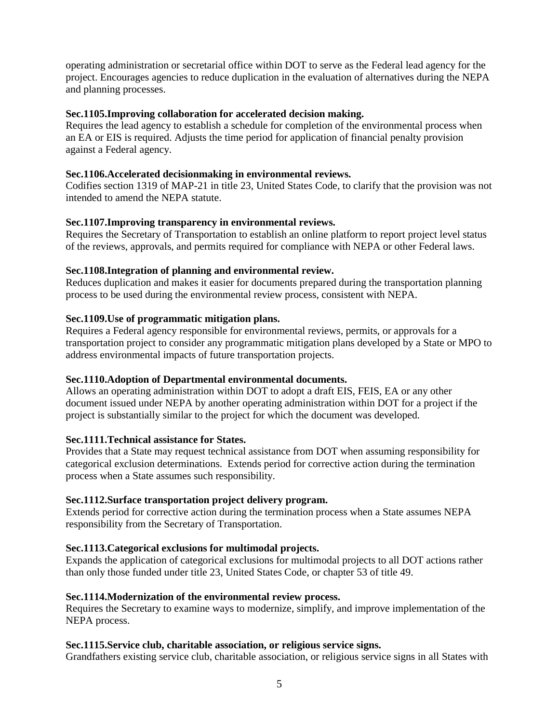operating administration or secretarial office within DOT to serve as the Federal lead agency for the project. Encourages agencies to reduce duplication in the evaluation of alternatives during the NEPA and planning processes.

# **Sec.1105.Improving collaboration for accelerated decision making.**

Requires the lead agency to establish a schedule for completion of the environmental process when an EA or EIS is required. Adjusts the time period for application of financial penalty provision against a Federal agency.

# **Sec.1106.Accelerated decisionmaking in environmental reviews.**

Codifies section 1319 of MAP-21 in title 23, United States Code, to clarify that the provision was not intended to amend the NEPA statute.

# **Sec.1107.Improving transparency in environmental reviews.**

Requires the Secretary of Transportation to establish an online platform to report project level status of the reviews, approvals, and permits required for compliance with NEPA or other Federal laws.

# **Sec.1108.Integration of planning and environmental review.**

Reduces duplication and makes it easier for documents prepared during the transportation planning process to be used during the environmental review process, consistent with NEPA.

# **Sec.1109.Use of programmatic mitigation plans.**

Requires a Federal agency responsible for environmental reviews, permits, or approvals for a transportation project to consider any programmatic mitigation plans developed by a State or MPO to address environmental impacts of future transportation projects.

# **Sec.1110.Adoption of Departmental environmental documents.**

Allows an operating administration within DOT to adopt a draft EIS, FEIS, EA or any other document issued under NEPA by another operating administration within DOT for a project if the project is substantially similar to the project for which the document was developed.

# **Sec.1111.Technical assistance for States.**

Provides that a State may request technical assistance from DOT when assuming responsibility for categorical exclusion determinations. Extends period for corrective action during the termination process when a State assumes such responsibility.

# **Sec.1112.Surface transportation project delivery program.**

Extends period for corrective action during the termination process when a State assumes NEPA responsibility from the Secretary of Transportation.

# **Sec.1113.Categorical exclusions for multimodal projects.**

Expands the application of categorical exclusions for multimodal projects to all DOT actions rather than only those funded under title 23, United States Code, or chapter 53 of title 49.

# **Sec.1114.Modernization of the environmental review process.**

Requires the Secretary to examine ways to modernize, simplify, and improve implementation of the NEPA process.

# **Sec.1115.Service club, charitable association, or religious service signs.**

Grandfathers existing service club, charitable association, or religious service signs in all States with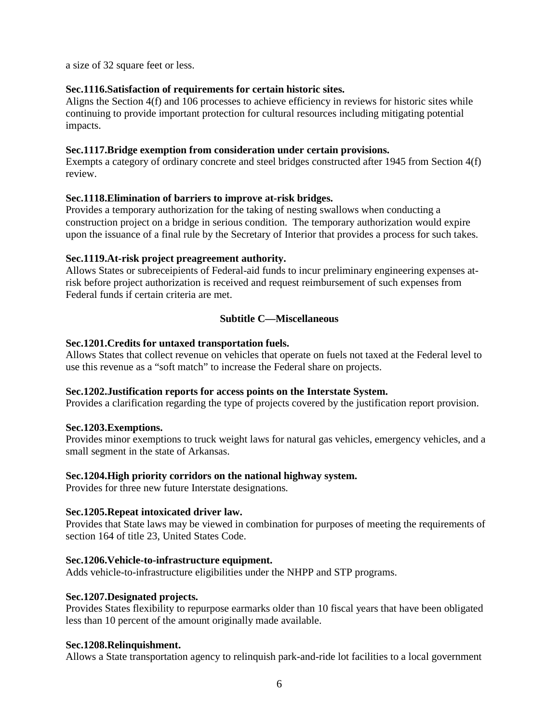a size of 32 square feet or less.

### **Sec.1116.Satisfaction of requirements for certain historic sites.**

Aligns the Section 4(f) and 106 processes to achieve efficiency in reviews for historic sites while continuing to provide important protection for cultural resources including mitigating potential impacts.

### **Sec.1117.Bridge exemption from consideration under certain provisions.**

Exempts a category of ordinary concrete and steel bridges constructed after 1945 from Section 4(f) review.

# **Sec.1118.Elimination of barriers to improve at-risk bridges.**

Provides a temporary authorization for the taking of nesting swallows when conducting a construction project on a bridge in serious condition. The temporary authorization would expire upon the issuance of a final rule by the Secretary of Interior that provides a process for such takes.

### **Sec.1119.At-risk project preagreement authority.**

Allows States or subreceipients of Federal-aid funds to incur preliminary engineering expenses atrisk before project authorization is received and request reimbursement of such expenses from Federal funds if certain criteria are met.

# **Subtitle C—Miscellaneous**

### **Sec.1201.Credits for untaxed transportation fuels.**

Allows States that collect revenue on vehicles that operate on fuels not taxed at the Federal level to use this revenue as a "soft match" to increase the Federal share on projects.

# **Sec.1202.Justification reports for access points on the Interstate System.**

Provides a clarification regarding the type of projects covered by the justification report provision.

# **Sec.1203.Exemptions.**

Provides minor exemptions to truck weight laws for natural gas vehicles, emergency vehicles, and a small segment in the state of Arkansas.

#### **Sec.1204.High priority corridors on the national highway system.**

Provides for three new future Interstate designations.

#### **Sec.1205.Repeat intoxicated driver law.**

Provides that State laws may be viewed in combination for purposes of meeting the requirements of section 164 of title 23, United States Code.

#### **Sec.1206.Vehicle-to-infrastructure equipment.**

Adds vehicle-to-infrastructure eligibilities under the NHPP and STP programs.

# **Sec.1207.Designated projects.**

Provides States flexibility to repurpose earmarks older than 10 fiscal years that have been obligated less than 10 percent of the amount originally made available.

#### **Sec.1208.Relinquishment.**

Allows a State transportation agency to relinquish park-and-ride lot facilities to a local government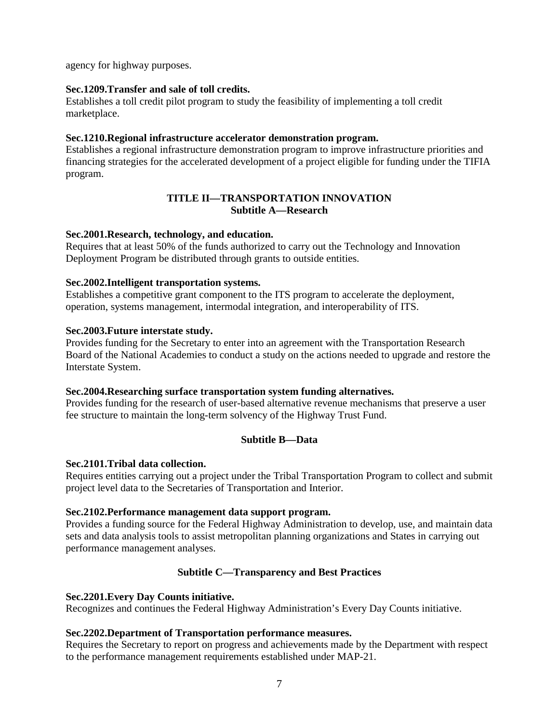agency for highway purposes.

### **Sec.1209.Transfer and sale of toll credits.**

Establishes a toll credit pilot program to study the feasibility of implementing a toll credit marketplace.

### **Sec.1210.Regional infrastructure accelerator demonstration program.**

Establishes a regional infrastructure demonstration program to improve infrastructure priorities and financing strategies for the accelerated development of a project eligible for funding under the TIFIA program.

### **TITLE II—TRANSPORTATION INNOVATION Subtitle A—Research**

#### **Sec.2001.Research, technology, and education.**

Requires that at least 50% of the funds authorized to carry out the Technology and Innovation Deployment Program be distributed through grants to outside entities.

### **Sec.2002.Intelligent transportation systems.**

Establishes a competitive grant component to the ITS program to accelerate the deployment, operation, systems management, intermodal integration, and interoperability of ITS.

### **Sec.2003.Future interstate study.**

Provides funding for the Secretary to enter into an agreement with the Transportation Research Board of the National Academies to conduct a study on the actions needed to upgrade and restore the Interstate System.

#### **Sec.2004.Researching surface transportation system funding alternatives.**

Provides funding for the research of user-based alternative revenue mechanisms that preserve a user fee structure to maintain the long-term solvency of the Highway Trust Fund.

# **Subtitle B—Data**

#### **Sec.2101.Tribal data collection.**

Requires entities carrying out a project under the Tribal Transportation Program to collect and submit project level data to the Secretaries of Transportation and Interior.

#### **Sec.2102.Performance management data support program.**

Provides a funding source for the Federal Highway Administration to develop, use, and maintain data sets and data analysis tools to assist metropolitan planning organizations and States in carrying out performance management analyses.

# **Subtitle C—Transparency and Best Practices**

#### **Sec.2201.Every Day Counts initiative.**

Recognizes and continues the Federal Highway Administration's Every Day Counts initiative.

#### **Sec.2202.Department of Transportation performance measures.**

Requires the Secretary to report on progress and achievements made by the Department with respect to the performance management requirements established under MAP-21.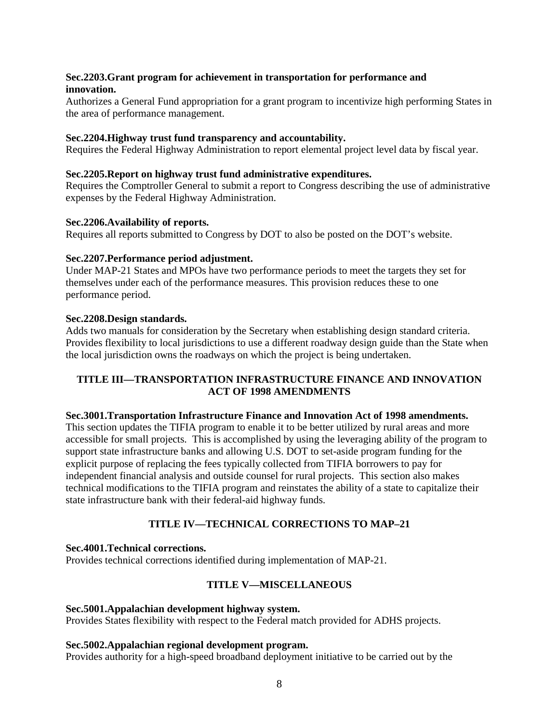# **Sec.2203.Grant program for achievement in transportation for performance and innovation.**

Authorizes a General Fund appropriation for a grant program to incentivize high performing States in the area of performance management.

### **Sec.2204.Highway trust fund transparency and accountability.**

Requires the Federal Highway Administration to report elemental project level data by fiscal year.

### **Sec.2205.Report on highway trust fund administrative expenditures.**

Requires the Comptroller General to submit a report to Congress describing the use of administrative expenses by the Federal Highway Administration.

### **Sec.2206.Availability of reports.**

Requires all reports submitted to Congress by DOT to also be posted on the DOT's website.

### **Sec.2207.Performance period adjustment.**

Under MAP-21 States and MPOs have two performance periods to meet the targets they set for themselves under each of the performance measures. This provision reduces these to one performance period.

### **Sec.2208.Design standards.**

Adds two manuals for consideration by the Secretary when establishing design standard criteria. Provides flexibility to local jurisdictions to use a different roadway design guide than the State when the local jurisdiction owns the roadways on which the project is being undertaken.

# **TITLE III—TRANSPORTATION INFRASTRUCTURE FINANCE AND INNOVATION ACT OF 1998 AMENDMENTS**

#### **Sec.3001.Transportation Infrastructure Finance and Innovation Act of 1998 amendments.**

This section updates the TIFIA program to enable it to be better utilized by rural areas and more accessible for small projects. This is accomplished by using the leveraging ability of the program to support state infrastructure banks and allowing U.S. DOT to set-aside program funding for the explicit purpose of replacing the fees typically collected from TIFIA borrowers to pay for independent financial analysis and outside counsel for rural projects. This section also makes technical modifications to the TIFIA program and reinstates the ability of a state to capitalize their state infrastructure bank with their federal-aid highway funds.

# **TITLE IV—TECHNICAL CORRECTIONS TO MAP–21**

# **Sec.4001.Technical corrections.**

Provides technical corrections identified during implementation of MAP-21.

# **TITLE V—MISCELLANEOUS**

#### **Sec.5001.Appalachian development highway system.**

Provides States flexibility with respect to the Federal match provided for ADHS projects.

#### **Sec.5002.Appalachian regional development program.**

Provides authority for a high-speed broadband deployment initiative to be carried out by the